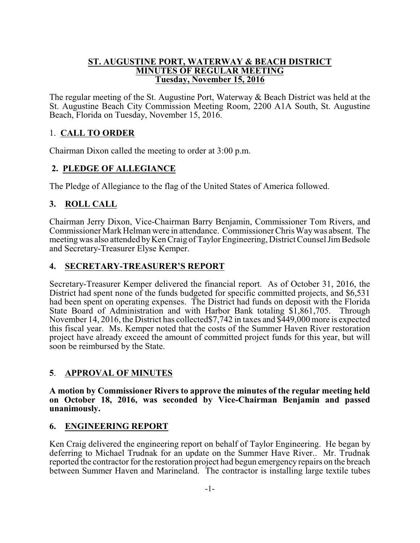#### **ST. AUGUSTINE PORT, WATERWAY & BEACH DISTRICT MINUTES OF REGULAR MEETING Tuesday, November 15, 2016**

The regular meeting of the St. Augustine Port, Waterway & Beach District was held at the St. Augustine Beach City Commission Meeting Room, 2200 A1A South, St. Augustine Beach, Florida on Tuesday, November 15, 2016.

# 1. **CALL TO ORDER**

Chairman Dixon called the meeting to order at 3:00 p.m.

# **2. PLEDGE OF ALLEGIANCE**

The Pledge of Allegiance to the flag of the United States of America followed.

# **3. ROLL CALL**

Chairman Jerry Dixon, Vice-Chairman Barry Benjamin, Commissioner Tom Rivers, and Commissioner Mark Helman were in attendance. Commissioner Chris Waywas absent. The meeting was also attended byKen Craig of Taylor Engineering, District Counsel JimBedsole and Secretary-Treasurer Elyse Kemper.

## **4. SECRETARY-TREASURER'S REPORT**

Secretary-Treasurer Kemper delivered the financial report. As of October 31, 2016, the District had spent none of the funds budgeted for specific committed projects, and \$6,531 had been spent on operating expenses. The District had funds on deposit with the Florida State Board of Administration and with Harbor Bank totaling \$1,861,705. Through November 14, 2016, the District has collected\$7,742 in taxes and \$449,000 more is expected this fiscal year. Ms. Kemper noted that the costs of the Summer Haven River restoration project have already exceed the amount of committed project funds for this year, but will soon be reimbursed by the State.

## **5**. **APPROVAL OF MINUTES**

**A motion by Commissioner Rivers to approve the minutes of the regular meeting held on October 18, 2016, was seconded by Vice-Chairman Benjamin and passed unanimously.** 

## **6. ENGINEERING REPORT**

Ken Craig delivered the engineering report on behalf of Taylor Engineering. He began by deferring to Michael Trudnak for an update on the Summer Have River.. Mr. Trudnak reported the contractor for the restoration project had begun emergency repairs on the breach between Summer Haven and Marineland. The contractor is installing large textile tubes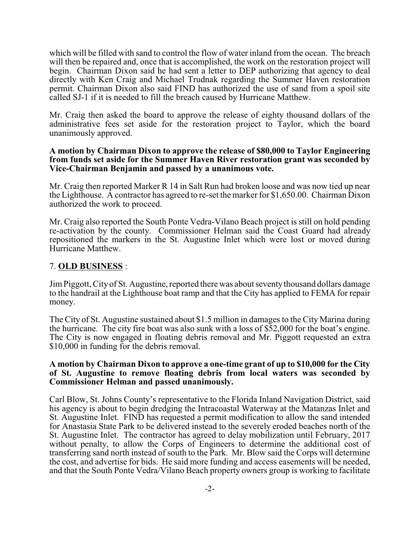which will be filled with sand to control the flow of water inland from the ocean. The breach will then be repaired and, once that is accomplished, the work on the restoration project will begin. Chairman Dixon said he had sent a letter to DEP authorizing that agency to deal directly with Ken Craig and Michael Trudnak regarding the Summer Haven restoration permit. Chairman Dixon also said FIND has authorized the use of sand from a spoil site called SJ-1 if it is needed to fill the breach caused by Hurricane Matthew.

Mr. Craig then asked the board to approve the release of eighty thousand dollars of the administrative fees set aside for the restoration project to Taylor, which the board unanimously approved.

#### **A motion by Chairman Dixon to approve the release of \$80,000 to Taylor Engineering from funds set aside for the Summer Haven River restoration grant was seconded by Vice-Chairman Benjamin and passed by a unanimous vote.**

Mr. Craig then reported Marker R 14 in Salt Run had broken loose and was now tied up near the Lighthouse. A contractor has agreed to re-set the marker for \$1,650.00. Chairman Dixon authorized the work to proceed.

Mr. Craig also reported the South Ponte Vedra-Vilano Beach project is still on hold pending re-activation by the county. Commissioner Helman said the Coast Guard had already repositioned the markers in the St. Augustine Inlet which were lost or moved during Hurricane Matthew.

#### 7. **OLD BUSINESS** :

JimPiggott, City of St. Augustine, reported there was about seventythousand dollars damage to the handrail at the Lighthouse boat ramp and that the City has applied to FEMA for repair money.

The City of St. Augustine sustained about \$1.5 million in damages to the City Marina during the hurricane. The city fire boat was also sunk with a loss of \$52,000 for the boat's engine. The City is now engaged in floating debris removal and Mr. Piggott requested an extra \$10,000 in funding for the debris removal.

#### **A motion by Chairman Dixon to approve a one-time grant of up to \$10,000 for the City of St. Augustine to remove floating debris from local waters was seconded by Commissioner Helman and passed unanimously.**

Carl Blow, St. Johns County's representative to the Florida Inland Navigation District, said his agency is about to begin dredging the Intracoastal Waterway at the Matanzas Inlet and St. Augustine Inlet. FIND has requested a permit modification to allow the sand intended for Anastasia State Park to be delivered instead to the severely eroded beaches north of the St. Augustine Inlet. The contractor has agreed to delay mobilization until February, 2017 without penalty, to allow the Corps of Engineers to determine the additional cost of transferring sand north instead of south to the Park. Mr. Blow said the Corps will determine the cost, and advertise for bids. He said more funding and access easements will be needed, and that the South Ponte Vedra/Vilano Beach property owners group is working to facilitate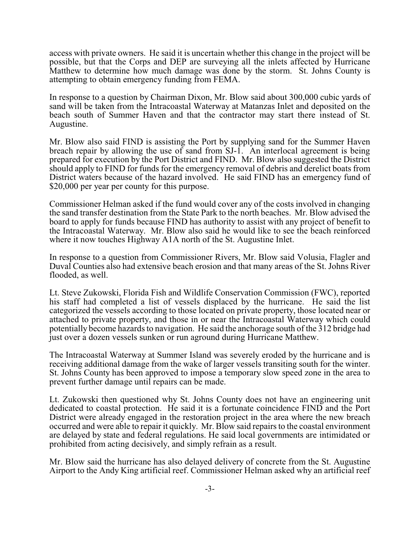access with private owners. He said it is uncertain whether this change in the project will be possible, but that the Corps and DEP are surveying all the inlets affected by Hurricane Matthew to determine how much damage was done by the storm. St. Johns County is attempting to obtain emergency funding from FEMA.

In response to a question by Chairman Dixon, Mr. Blow said about 300,000 cubic yards of sand will be taken from the Intracoastal Waterway at Matanzas Inlet and deposited on the beach south of Summer Haven and that the contractor may start there instead of St. Augustine.

Mr. Blow also said FIND is assisting the Port by supplying sand for the Summer Haven breach repair by allowing the use of sand from SJ-1. An interlocal agreement is being prepared for execution by the Port District and FIND. Mr. Blow also suggested the District should apply to FIND for funds for the emergency removal of debris and derelict boats from District waters because of the hazard involved. He said FIND has an emergency fund of \$20,000 per year per county for this purpose.

Commissioner Helman asked if the fund would cover any of the costs involved in changing the sand transfer destination from the State Park to the north beaches. Mr. Blow advised the board to apply for funds because FIND has authority to assist with any project of benefit to the Intracoastal Waterway. Mr. Blow also said he would like to see the beach reinforced where it now touches Highway A1A north of the St. Augustine Inlet.

In response to a question from Commissioner Rivers, Mr. Blow said Volusia, Flagler and Duval Counties also had extensive beach erosion and that many areas of the St. Johns River flooded, as well.

Lt. Steve Zukowski, Florida Fish and Wildlife Conservation Commission (FWC), reported his staff had completed a list of vessels displaced by the hurricane. He said the list categorized the vessels according to those located on private property, those located near or attached to private property, and those in or near the Intracoastal Waterway which could potentially become hazards to navigation. He said the anchorage south of the 312 bridge had just over a dozen vessels sunken or run aground during Hurricane Matthew.

The Intracoastal Waterway at Summer Island was severely eroded by the hurricane and is receiving additional damage from the wake of larger vessels transiting south for the winter. St. Johns County has been approved to impose a temporary slow speed zone in the area to prevent further damage until repairs can be made.

Lt. Zukowski then questioned why St. Johns County does not have an engineering unit dedicated to coastal protection. He said it is a fortunate coincidence FIND and the Port District were already engaged in the restoration project in the area where the new breach occurred and were able to repair it quickly. Mr. Blow said repairs to the coastal environment are delayed by state and federal regulations. He said local governments are intimidated or prohibited from acting decisively, and simply refrain as a result.

Mr. Blow said the hurricane has also delayed delivery of concrete from the St. Augustine Airport to the Andy King artificial reef. Commissioner Helman asked why an artificial reef